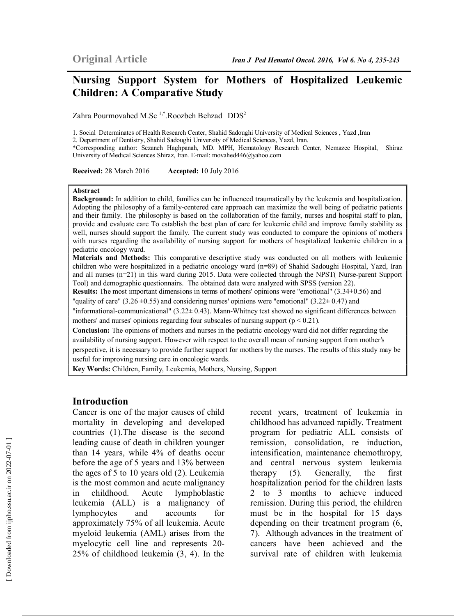# **Nursing Support System for Mothers of Hospitalized Leukemic Children: A Comparative Study**

Zahra Pourmovahed M.Sc<sup>1,\*</sup>.Roozbeh Behzad DDS<sup>2</sup>

1. Social Determinates of Health Research Center, Shahid Sadoughi University of Medical Sciences , Yazd ,Iran

2. Department of Dentistry, Shahid Sadoughi University of Medical Sciences, Yazd, Iran.

\*Corresponding author: Sezaneh Haghpanah, MD. MPH, Hematology Research Center, Nemazee Hospital, Shiraz University of Medical Sciences Shiraz, Iran. E-mail: movahed446@yahoo.com

**Received:** 28 March 2016 **Accepted:** 10 July 2016

#### **Abstract**

**Background:** In addition to child, families can be influenced traumatically by the leukemia and hospitalization. Adopting the philosophy of a family-centered care approach can maximize the well being of pediatric patients and their family. The philosophy is based on the collaboration of the family, nurses and hospital staff to plan, provide and evaluate care To establish the best plan of care for leukemic child and improve family stability as well, nurses should support the family. The current study was conducted to compare the opinions of mothers with nurses regarding the availability of nursing support for mothers of hospitalized leukemic children in a pediatric oncology ward.

**Materials and Methods:** This comparative descriptive study was conducted on all mothers with leukemic children who were hospitalized in a pediatric oncology ward (n=89) of Shahid Sadoughi Hospital, Yazd, Iran and all nurses (n=21) in this ward during 2015. Data were collected through the NPST( Nurse-parent Support Tool) and demographic questionnairs. The obtained data were analyzed with SPSS (version 22).

**Results:** The most important dimensions in terms of mothers' opinions were "emotional" (3.34±0.56) and

"quality of care" (3.26  $\pm$ 0.55) and considering nurses' opinions were "emotional" (3.22 $\pm$  0.47) and

"informational-communicational" (3.22± 0.43). Mann-Whitney test showed no significant differences between mothers' and nurses' opinions regarding four subscales of nursing support  $(p < 0.21)$ .

**Conclusion:** The opinions of mothers and nurses in the pediatric oncology ward did not differ regarding the availability of nursing support. However with respect to the overall mean of nursing support from mother's perspective, it is necessary to provide further support for mothers by the nurses. The results of this study may be useful for improving nursing care in oncologic wards.

**Key Words:** Children, Family, Leukemia, Mothers, Nursing, Support

#### **Introduction**

Cancer is one of the major causes of child mortality in developing and developed countries (1).The disease is the second leading cause of death in children younger than 14 years, while 4% of deaths occur before the age of 5 years and 13% between the ages of 5 to 10 years old (2). Leukemia is the most common and acute malignancy in childhood. Acute lymphoblastic leukemia (ALL) is a malignancy of lymphocytes and accounts for approximately 75% of all leukemia. Acute myeloid leukemia (AML) arises from the myelocytic cell line and represents 20- 25% of childhood leukemia (3, 4). In the recent years, treatment of leukemia in childhood has advanced rapidly. Treatment program for pediatric ALL consists of remission, consolidation, re induction, intensification, maintenance chemothropy, and central nervous system leukemia therapy (5). Generally, the first hospitalization period for the children lasts 2 to 3 months to achieve induced remission. During this period, the children must be in the hospital for 15 days depending on their treatment program (6, 7). Although advances in the treatment of cancers have been achieved and the survival rate of children with leukemia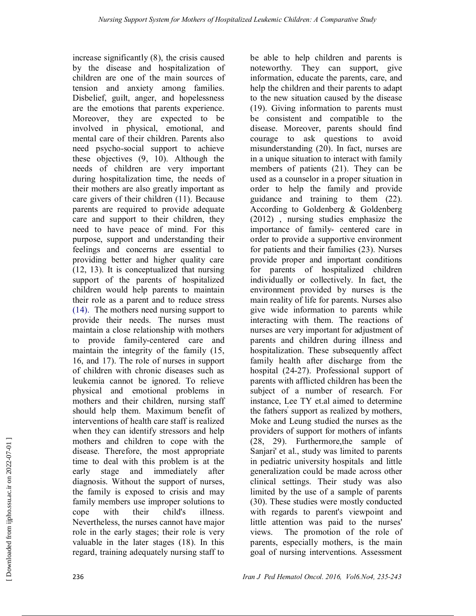increase significantly (8), the crisis caused by the disease and hospitalization of children are one of the main sources of tension and anxiety among families. Disbelief, guilt, anger, and hopelessness are the emotions that parents experience. Moreover, they are expected to be involved in physical, emotional, and mental care of their children. Parents also need psycho-social support to achieve these objectives (9, 10). Although the needs of children are very important during hospitalization time, the needs of their mothers are also greatly important as care givers of their children (11). Because parents are required to provide adequate care and support to their children, they need to have peace of mind. For this purpose, support and understanding their feelings and concerns are essential to providing better and higher quality care (12, 13). It is conceptualized that nursing support of the parents of hospitalized children would help parents to maintain their role as a parent and to reduce stress (14). The mothers need nursing support to provide their needs. The nurses must maintain a close relationship with mothers to provide family-centered care and maintain the integrity of the family (15, 16, and 17). The role of nurses in support of children with chronic diseases such as leukemia cannot be ignored. To relieve physical and emotional problems in mothers and their children, nursing staff should help them. Maximum benefit of interventions of health care staff is realized when they can identify stressors and help mothers and children to cope with the disease. Therefore, the most appropriate time to deal with this problem is at the early stage and immediately after diagnosis. Without the support of nurses, the family is exposed to crisis and may family members use improper solutions to cope with their child's illness. Nevertheless, the nurses cannot have major role in the early stages; their role is very valuable in the later stages (18). In this regard, training adequately nursing staff to

be able to help children and parents is noteworthy. They can support, give information, educate the parents, care, and help the children and their parents to adapt to the new situation caused by the disease (19). Giving information to parents must be consistent and compatible to the disease. Moreover, parents should find courage to ask questions to avoid misunderstanding (20). In fact, nurses are in a unique situation to interact with family members of patients (21). They can be used as a counselor in a proper situation in order to help the family and provide guidance and training to them (22). According to Goldenberg & Goldenberg (2012) , nursing studies emphasize the importance of family- centered care in order to provide a supportive environment for patients and their families (23). Nurses provide proper and important conditions for parents of hospitalized children individually or collectively. In fact, the environment provided by nurses is the main reality of life for parents. Nurses also give wide information to parents while interacting with them. The reactions of nurses are very important for adjustment of parents and children during illness and hospitalization. These subsequently affect family health after discharge from the hospital (24-27). Professional support of parents with afflicted children has been the subject of a number of research. For instance, Lee TY et.al aimed to determine the fathers' support as realized by mothers, Moke and Leung studied the nurses as the providers of support for mothers of infants (28, 29). Furthermore,the sample of Sanjari' et al., study was limited to parents in pediatric university hospitals and little generalization could be made across other clinical settings. Their study was also limited by the use of a sample of parents (30). These studies were mostly conducted with regards to parent's viewpoint and little attention was paid to the nurses' views. The promotion of the role of parents, especially mothers, is the main goal of nursing interventions. Assessment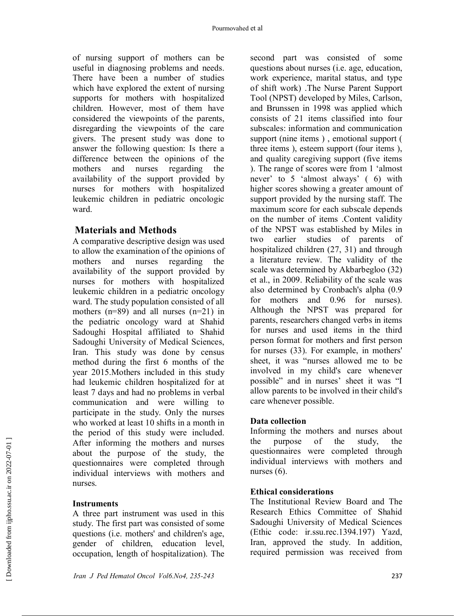of nursing support of mothers can be useful in diagnosing problems and needs. There have been a number of studies which have explored the extent of nursing supports for mothers with hospitalized children. However, most of them have considered the viewpoints of the parents, disregarding the viewpoints of the care givers. The present study was done to answer the following question: Is there a difference between the opinions of the mothers and nurses regarding the availability of the support provided by nurses for mothers with hospitalized leukemic children in pediatric oncologic ward.

## **Materials and Methods**

A comparative descriptive design was used to allow the examination of the opinions of mothers and nurses regarding the availability of the support provided by nurses for mothers with hospitalized leukemic children in a pediatric oncology ward. The study population consisted of all mothers (n=89) and all nurses (n=21) in the pediatric oncology ward at Shahid Sadoughi Hospital affiliated to Shahid Sadoughi University of Medical Sciences, Iran. This study was done by census method during the first 6 months of the year 2015.Mothers included in this study had leukemic children hospitalized for at least 7 days and had no problems in verbal communication and were willing to participate in the study. Only the nurses who worked at least 10 shifts in a month in the period of this study were included. After informing the mothers and nurses about the purpose of the study, the questionnaires were completed through individual interviews with mothers and nurses.

## **Instruments**

A three part instrument was used in this study. The first part was consisted of some questions (i.e. mothers' and children's age, gender of children, education level, occupation, length of hospitalization). The

second part was consisted of some questions about nurses (i.e. age, education, work experience, marital status, and type of shift work) .The Nurse Parent Support Tool (NPST) developed by Miles, Carlson, and Brunssen in 1998 was applied which consists of 21 items classified into four subscales: information and communication support (nine items ) , emotional support ( three items ), esteem support (four items ), and quality caregiving support (five items ). The range of scores were from 1 'almost never' to 5 'almost always' ( 6) with higher scores showing a greater amount of support provided by the nursing staff. The maximum score for each subscale depends on the number of items .Content validity of the NPST was established by Miles in two earlier studies of parents of hospitalized children (27, 31) and through a literature review. The validity of the scale was determined by Akbarbegloo (32) et al., in 2009. Reliability of the scale was also determined by Cronbach's alpha (0.9 for mothers and 0.96 for nurses). Although the NPST was prepared for parents, researchers changed verbs in items for nurses and used items in the third person format for mothers and first person for nurses (33). For example, in mothers' sheet, it was "nurses allowed me to be involved in my child's care whenever possible" and in nurses' sheet it was "I allow parents to be involved in their child's care whenever possible.

## **Data collection**

Informing the mothers and nurses about the purpose of the study, the questionnaires were completed through individual interviews with mothers and nurses (6).

## **Ethical considerations**

The Institutional Review Board and The Research Ethics Committee of Shahid Sadoughi University of Medical Sciences (Ethic code: ir.ssu.rec.1394.197) Yazd, Iran, approved the study. In addition, required permission was received from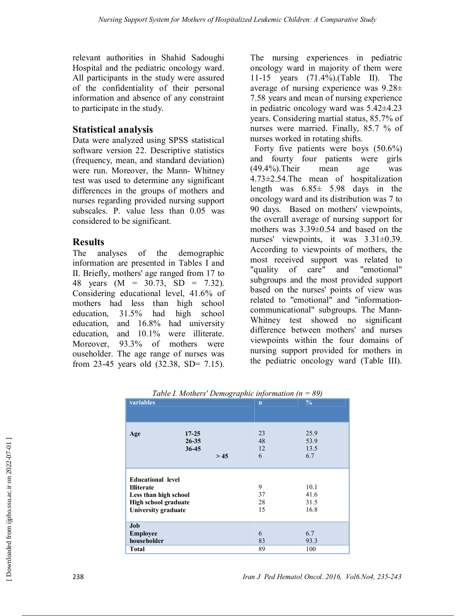relevant authorities in Shahid Sadoughi Hospital and the pediatric oncology ward. All participants in the study were assured of the confidentiality of their personal information and absence of any constraint to participate in the study.

## **Statistical analysis**

Data were analyzed using SPSS statistical software version 22. Descriptive statistics (frequency, mean, and standard deviation) were run. Moreover, the Mann- Whitney test was used to determine any significant differences in the groups of mothers and nurses regarding provided nursing support subscales. P. value less than 0.05 was considered to be significant.

## **Results**

The analyses of the demographic information are presented in Tables I and II. Briefly, mothers' age ranged from 17 to 48 years (M = 30.73, SD = 7.32). Considering educational level, 41.6% of mothers had less than high school education, 31.5% had high school education, and 16.8% had university education, and 10.1% were illiterate. Moreover, 93.3% of mothers were ouseholder. The age range of nurses was from 23-45 years old (32.38, SD= 7.15).

The nursing experiences in pediatric oncology ward in majority of them were 11-15 years (71.4%).(Table II). The average of nursing experience was 9.28± 7.58 years and mean of nursing experience in pediatric oncology ward was 5.42±4.23 years. Considering martial status, 85.7% of nurses were married. Finally, 85.7 % of nurses worked in rotating shifts.

 Forty five patients were boys (50.6%) and fourty four patients were girls (49.4%).Their mean age was 4.73±2.54.The mean of hospitalization length was 6.85± 5.98 days in the oncology ward and its distribution was 7 to 90 days. Based on mothers' viewpoints, the overall average of nursing support for mothers was 3.39±0.54 and based on the nurses' viewpoints, it was  $3.31 \pm 0.39$ . According to viewpoints of mothers, the most received support was related to "quality of care" and "emotional" subgroups and the most provided support based on the nurses' points of view was related to "emotional" and "informationcommunicational" subgroups. The Mann-Whitney test showed no significant difference between mothers' and nurses viewpoints within the four domains of nursing support provided for mothers in the pediatric oncology ward (Table III).

| <i>raole 1. moiners Demographic information</i><br>$\cup$                                                             |                                   |                             |                              |  |  |  |
|-----------------------------------------------------------------------------------------------------------------------|-----------------------------------|-----------------------------|------------------------------|--|--|--|
| variables                                                                                                             |                                   | $\mathbf n$                 | $\frac{0}{0}$                |  |  |  |
| Age                                                                                                                   | $17-25$<br>$26 - 35$<br>$36 - 45$ | 23<br>48<br>12<br>6<br>> 45 | 25.9<br>53.9<br>13.5<br>6.7  |  |  |  |
| <b>Educational level</b><br><b>Illiterate</b><br>Less than high school<br>High school graduate<br>University graduate |                                   | 9<br>37<br>28<br>15         | 10.1<br>41.6<br>31.5<br>16.8 |  |  |  |
| Job<br><b>Employee</b><br>householder                                                                                 |                                   | 6<br>83                     | 6.7<br>93.3                  |  |  |  |
| <b>Total</b>                                                                                                          |                                   | 89                          | 100                          |  |  |  |

*Table I. Mothers' Demographic information (n = 89)*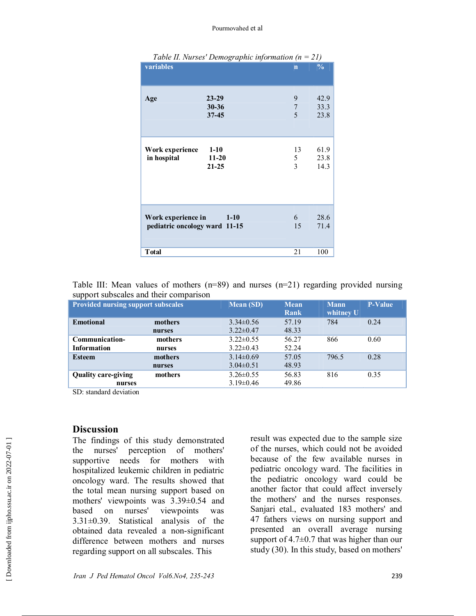#### Pourmovahed et al

|                                                     | Table II. Nurses' Demographic information ( $n = 21$ ) |                            |                      |
|-----------------------------------------------------|--------------------------------------------------------|----------------------------|----------------------|
| variables                                           |                                                        | $\overline{\mathbf{n}}$    | $\frac{0}{0}$        |
| Age                                                 | $23 - 29$<br>$30 - 36$<br>$37 - 45$                    | 9<br>$\boldsymbol{7}$<br>5 | 42.9<br>33.3<br>23.8 |
| Work experience<br>in hospital                      | $1 - 10$<br>11-20<br>$21 - 25$                         | 13<br>5<br>3               | 61.9<br>23.8<br>14.3 |
| Work experience in<br>pediatric oncology ward 11-15 | $1-10$                                                 | 6<br>15                    | 28.6<br>71.4         |
| <b>T</b> otal                                       |                                                        | 21                         | 100                  |

| Table III: Mean values of mothers ( $n=89$ ) and nurses ( $n=21$ ) regarding provided nursing |  |  |  |  |  |
|-----------------------------------------------------------------------------------------------|--|--|--|--|--|
| support subscales and their comparison                                                        |  |  |  |  |  |

| <b>Provided nursing support subscales</b> |         | <b>Mean (SD)</b> | <b>Mean</b><br>Rank | <b>Mann</b><br>whitney U | <b>P-Value</b> |
|-------------------------------------------|---------|------------------|---------------------|--------------------------|----------------|
| <b>Emotional</b>                          | mothers | $3.34\pm0.56$    | 57.19               | 784                      | 0.24           |
|                                           | nurses  | $3.22 \pm 0.47$  | 48.33               |                          |                |
| Communication-                            | mothers | $3.22 \pm 0.55$  | 56.27               | 866                      | 0.60           |
| Information                               | nurses  | $3.22 \pm 0.43$  | 52.24               |                          |                |
| <b>Esteem</b>                             | mothers | $3.14\pm0.69$    | 57.05               | 796.5                    | 0.28           |
|                                           | nurses  | $3.04\pm0.51$    | 48.93               |                          |                |
| <b>Quality care-giving</b>                | mothers | $3.26 \pm 0.55$  | 56.83               | 816                      | 0.35           |
| nurses                                    |         | $3.19\pm0.46$    | 49.86               |                          |                |

SD: standard deviation

#### **Discussion**

The findings of this study demonstrated the nurses' perception of mothers' supportive needs for mothers with hospitalized leukemic children in pediatric oncology ward. The results showed that the total mean nursing support based on mothers' viewpoints was 3.39±0.54 and based on nurses' viewpoints was 3.31±0.39. Statistical analysis of the obtained data revealed a non-significant difference between mothers and nurses regarding support on all subscales. This

result was expected due to the sample size of the nurses, which could not be avoided because of the few available nurses in pediatric oncology ward. The facilities in the pediatric oncology ward could be another factor that could affect inversely the mothers' and the nurses responses. Sanjari etal., evaluated 183 mothers' and 47 fathers views on nursing support and presented an overall average nursing support of 4.7±0.7 that was higher than our study (30). In this study, based on mothers'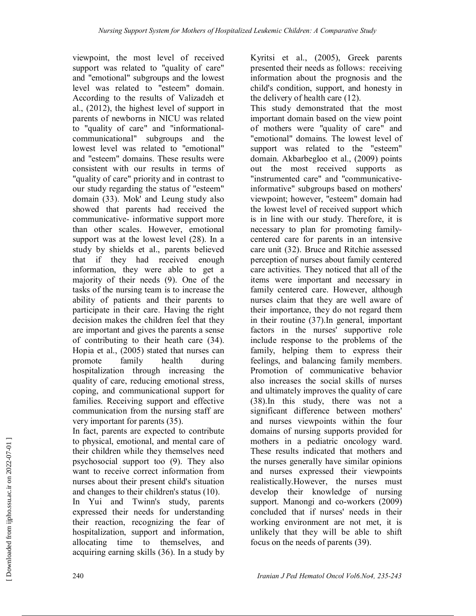viewpoint, the most level of received support was related to "quality of care" and "emotional" subgroups and the lowest level was related to "esteem" domain. According to the results of Valizadeh et al., (2012), the highest level of support in parents of newborns in NICU was related to "quality of care" and "informationalcommunicational" subgroups and the lowest level was related to "emotional" and "esteem" domains. These results were consistent with our results in terms of "quality of care" priority and in contrast to our study regarding the status of "esteem" domain (33). Mok' and Leung study also showed that parents had received the communicative- informative support more than other scales. However, emotional support was at the lowest level (28). In a study by shields et al., parents believed that if they had received enough information, they were able to get a majority of their needs (9). One of the tasks of the nursing team is to increase the ability of patients and their parents to participate in their care. Having the right decision makes the children feel that they are important and gives the parents a sense of contributing to their heath care (34). Hopia et al., (2005) stated that nurses can promote family health during hospitalization through increasing the quality of care, reducing emotional stress, coping, and communicational support for families. Receiving support and effective communication from the nursing staff are very important for parents (35).

In fact, parents are expected to contribute to physical, emotional, and mental care of their children while they themselves need psychosocial support too (9). They also want to receive correct information from nurses about their present child's situation and changes to their children's status (10).

In Yui and Twinn's study, parents expressed their needs for understanding their reaction, recognizing the fear of hospitalization, support and information, allocating time to themselves, and acquiring earning skills (36). In a study by

Kyritsi et al., (2005), Greek parents presented their needs as follows: receiving information about the prognosis and the child's condition, support, and honesty in the delivery of health care (12).

This study demonstrated that the most important domain based on the view point of mothers were "quality of care" and "emotional" domains. The lowest level of support was related to the "esteem" domain. Akbarbegloo et al., (2009) points out the most received supports as "instrumented care" and "communicativeinformative" subgroups based on mothers' viewpoint; however, "esteem" domain had the lowest level of received support which is in line with our study. Therefore, it is necessary to plan for promoting familycentered care for parents in an intensive care unit (32). Bruce and Ritchie assessed perception of nurses about family centered care activities. They noticed that all of the items were important and necessary in family centered care. However, although nurses claim that they are well aware of their importance, they do not regard them in their routine (37).In general, important factors in the nurses' supportive role include response to the problems of the family, helping them to express their feelings, and balancing family members. Promotion of communicative behavior also increases the social skills of nurses and ultimately improves the quality of care (38).In this study, there was not a significant difference between mothers' and nurses viewpoints within the four domains of nursing supports provided for mothers in a pediatric oncology ward. These results indicated that mothers and the nurses generally have similar opinions and nurses expressed their viewpoints realistically.However, the nurses must develop their knowledge of nursing support. Manongi and co-workers (2009) concluded that if nurses' needs in their working environment are not met, it is unlikely that they will be able to shift focus on the needs of parents (39).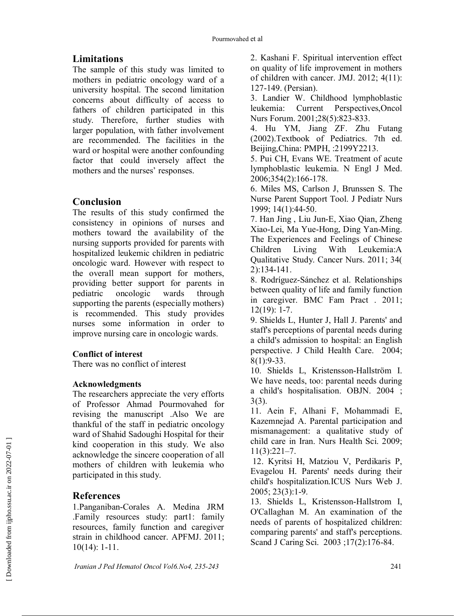## **Limitations**

The sample of this study was limited to mothers in pediatric oncology ward of a university hospital. The second limitation concerns about difficulty of access to fathers of children participated in this study. Therefore, further studies with larger population, with father involvement are recommended. The facilities in the ward or hospital were another confounding factor that could inversely affect the mothers and the nurses' responses.

## **Conclusion**

The results of this study confirmed the consistency in opinions of nurses and mothers toward the availability of the nursing supports provided for parents with hospitalized leukemic children in pediatric oncologic ward. However with respect to the overall mean support for mothers, providing better support for parents in pediatric oncologic wards through supporting the parents (especially mothers) is recommended. This study provides nurses some information in order to improve nursing care in oncologic wards.

## **Conflict of interest**

There was no conflict of interest

## **Acknowledgments**

The researchers appreciate the very efforts of Professor Ahmad Pourmovahed for revising the manuscript .Also We are thankful of the staff in pediatric oncology ward of Shahid Sadoughi Hospital for their kind cooperation in this study. We also acknowledge the sincere cooperation of all mothers of children with leukemia who participated in this study.

## **References**

1.Panganiban-Corales A. Medina JRM .Family resources study: part1: family resources, family function and caregiver strain in childhood cancer. APFMJ. 2011; 10(14): 1-11.

2. Kashani F. Spiritual intervention effect on quality of life improvement in mothers of children with cancer. JMJ. 2012; 4(11): 127-149. (Persian).

3. Landier W. Childhood lymphoblastic leukemia: Current Perspectives,Oncol Nurs Forum. 2001;28(5):823-833.

4. Hu YM, Jiang ZF. Zhu Futang (2002).Textbook of Pediatrics. 7th ed. Beijing,China: PMPH, :2199Y2213.

5. Pui CH, Evans WE. Treatment of acute lymphoblastic leukemia. N Engl J Med. 2006;354(2):166-178.

6. Miles MS, Carlson J, Brunssen S. The Nurse Parent Support Tool. J Pediatr Nurs 1999; 14(1):44-50.

7. Han Jing , Liu Jun-E, Xiao Qian, Zheng Xiao-Lei, Ma Yue-Hong, Ding Yan-Ming. The Experiences and Feelings of Chinese Children Living With Leukemia:A Qualitative Study. Cancer Nurs. 2011; 34( 2):134-141.

8. Rodríguez-Sánchez et al. Relationships between quality of life and family function in caregiver. BMC Fam Pract . 2011; 12(19): 1-7.

9. Shields L, Hunter J, Hall J. Parents' and staff's perceptions of parental needs during a child's admission to hospital: an English perspective. J Child Health Care. 2004; 8(1):9-33.

10. Shields L, Kristensson-Hallström I. We have needs, too: parental needs during a child's hospitalisation. OBJN. 2004 ; 3(3).

11. Aein F, Alhani F, Mohammadi E, Kazemnejad A. Parental participation and mismanagement: a qualitative study of child care in Iran. Nurs Health Sci. 2009; 11(3):221–7.

 12. Kyritsi H, Matziou V, Perdikaris P, Εvagelou Η. Parents' needs during their child's hospitalization.ICUS Nurs Web J. 2005; 23(3):1-9.

13. Shields L, Kristensson-Hallstrom I, O'Callaghan M. An examination of the needs of parents of hospitalized children: comparing parents' and staff's perceptions. Scand J Caring Sci. 2003 ;17(2):176-84.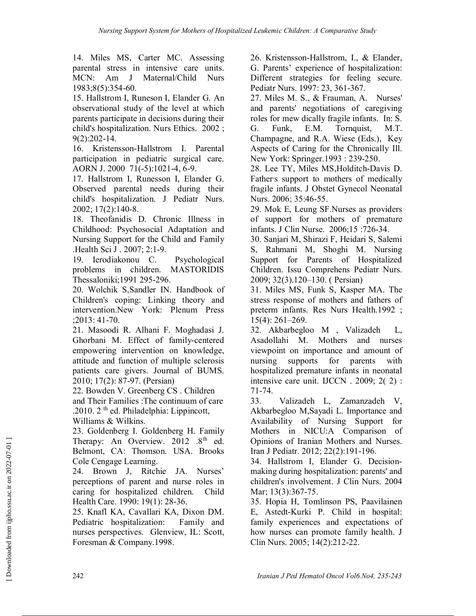14. Miles MS, Carter MC. Assessing parental stress in intensive care units. MCN: Am J Maternal/Child Nurs 1983;8(5):354-60.

15. Hallstrom I, Runeson I, Elander G. An observational study of the level at which parents participate in decisions during their child's hospitalization. Nurs Ethics. 2002 ; 9(2):202-14.

16. Kristensson-Hallstrom I. Parental participation in pediatric surgical care. AORN J. 2000 71(-5):1021-4, 6-9.

17. Hallstrom I, Runesson I, Elander G. Observed parental needs during their child's hospitalization. J Pediatr Nurs. 2002; 17(2):140-8.

18. Theofanidis D. Chronic Illness in Childhood: Psychosocial Adaptation and Nursing Support for the Child and Family .Health Sci J . 2007; 2:1-9.

19. Ierodiakonou C. Psychological problems in children. MASTORIDIS Thessaloniki;1991 295-296.

20. Wolchik S,Sandler IN. Handbook of Children's coping: Linking theory and intervention.New York: Plenum Press ;2013: 41-70.

21. Masoodi R. Alhani F. Moghadasi J. Ghorbani M. Effect of family-centered empowering intervention on knowledge, attitude and function of multiple sclerosis patients care givers. Journal of BUMS. 2010; 17(2): 87-97. (Persian)

22. Bowden V. Greenberg CS . Children and Their Families :The continuum of care .2010.  $2<sup>th</sup>$  ed. Philadelphia: Lippincott, Williams & Wilkins.

23. Goldenberg I. Goldenberg H. Family Therapy: An Overview.  $2012 \t .8<sup>th</sup>$  ed.

Belmont, CA: Thomson. USA. Brooks Cole Cengage Learning.

24. Brown J, Ritchie JA. Nurses' perceptions of parent and nurse roles in caring for hospitalized children. Child Health Care. 1990: 19(1): 28-36.

25. Knafl KA, Cavallari KA, Dixon DM. Pediatric hospitalization: Family and nurses perspectives. Glenview, IL: Scott, Foresman & Company.1998.

26. Kristensson-Hallstrom, I., & Elander, G. Parents' experience of hospitalization: Different strategies for feeling secure. Pediatr Nurs. 1997: 23, 361-367.

27. Miles M. S., & Frauman, A. Nurses' and parents' negotiations of caregiving roles for mew dically fragile infants. In: S. G. Funk, E.M. Tornquist, M.T. Champagne, and R.A. Wiese (Eds.), Key Aspects of Caring for the Chronically Ill. New York: Springer.1993 : 239-250.

28. Lee TY, Miles MS,Holditch-Davis D. Father's support to mothers of medically fragile infants. J Obstet Gynecol Neonatal Nurs. 2006; 35:46-55.

29. Mok E, Leung SF.Nurses as providers of support for mothers of premature infants. J Clin Nurse. 2006;15 :726-34.

30. Sanjari M, Shirazi F, Heidari S, Salemi S, Rahmani M, Shoghi M. Nursing Support for Parents of Hospitalized Children. Issu Comprehens Pediatr Nurs. 2009; 32(3).120–130. ( Persian)

31. Miles MS, Funk S, Kasper MA. The stress response of mothers and fathers of preterm infants. Res Nurs Health.1992 ; 15(4): 261–269.

32. Akbarbegloo M , Valizadeh L, Asadollahi M. Mothers and nurses viewpoint on importance and amount of nursing supports for parents with hospitalized premature infants in neonatal intensive care unit. IJCCN . 2009; 2( 2) : 71-74.

33. Valizadeh L, Zamanzadeh V, Akbarbegloo M,Sayadi L. Importance and Availability of Nursing Support for Mothers in NICU:A Comparison of Opinions of Iranian Mothers and Nurses. Iran J Pediatr. 2012; 22(2):191-196.

34. Hallstrom I, Elander G. Decisionmaking during hospitalization: parents' and children's involvement. J Clin Nurs. 2004 Mar; 13(3):367-75.

35. Hopia H, Tomlinson PS, Paavilainen E, Astedt-Kurki P. Child in hospital: family experiences and expectations of how nurses can promote family health. J Clin Nurs. 2005; 14(2):212-22.